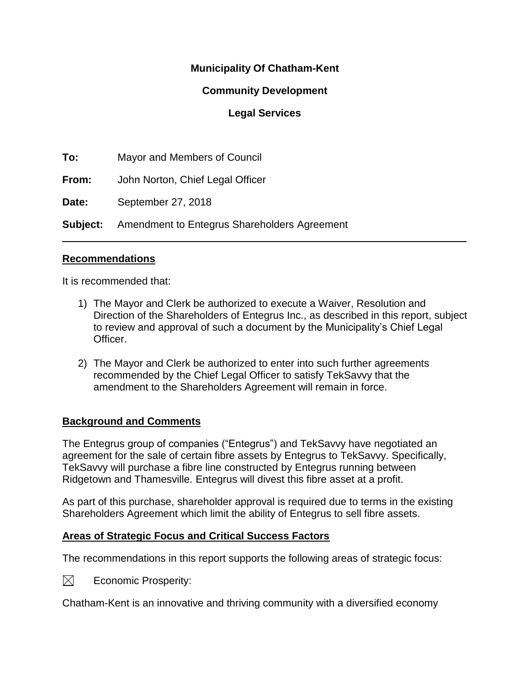# **Municipality Of Chatham-Kent**

## **Community Development**

## **Legal Services**

 $\_$  , and the set of the set of the set of the set of the set of the set of the set of the set of the set of the set of the set of the set of the set of the set of the set of the set of the set of the set of the set of th

**To:** Mayor and Members of Council

**From:** John Norton, Chief Legal Officer

**Date:** September 27, 2018

**Subject:** Amendment to Entegrus Shareholders Agreement

#### **Recommendations**

It is recommended that:

- 1) The Mayor and Clerk be authorized to execute a Waiver, Resolution and Direction of the Shareholders of Entegrus Inc., as described in this report, subject to review and approval of such a document by the Municipality's Chief Legal Officer.
- 2) The Mayor and Clerk be authorized to enter into such further agreements recommended by the Chief Legal Officer to satisfy TekSavvy that the amendment to the Shareholders Agreement will remain in force.

## **Background and Comments**

The Entegrus group of companies ("Entegrus") and TekSavvy have negotiated an agreement for the sale of certain fibre assets by Entegrus to TekSavvy. Specifically, TekSavvy will purchase a fibre line constructed by Entegrus running between Ridgetown and Thamesville. Entegrus will divest this fibre asset at a profit.

As part of this purchase, shareholder approval is required due to terms in the existing Shareholders Agreement which limit the ability of Entegrus to sell fibre assets.

## **Areas of Strategic Focus and Critical Success Factors**

The recommendations in this report supports the following areas of strategic focus:

 $\boxtimes$ Economic Prosperity:

Chatham-Kent is an innovative and thriving community with a diversified economy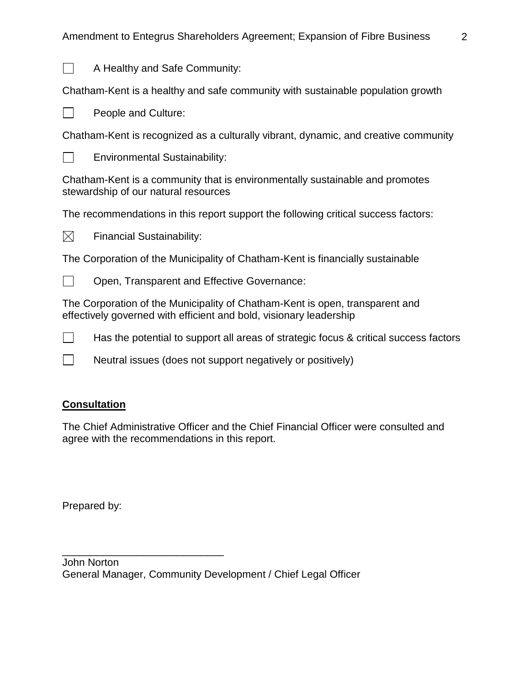

A Healthy and Safe Community:

Chatham-Kent is a healthy and safe community with sustainable population growth

 $\Box$ People and Culture:

Chatham-Kent is recognized as a culturally vibrant, dynamic, and creative community



Environmental Sustainability:

Chatham-Kent is a community that is environmentally sustainable and promotes stewardship of our natural resources

The recommendations in this report support the following critical success factors:



Financial Sustainability:

The Corporation of the Municipality of Chatham-Kent is financially sustainable



Open, Transparent and Effective Governance:

The Corporation of the Municipality of Chatham-Kent is open, transparent and effectively governed with efficient and bold, visionary leadership

 $\Box$ Has the potential to support all areas of strategic focus & critical success factors

 $\Box$ Neutral issues (does not support negatively or positively)

## **Consultation**

The Chief Administrative Officer and the Chief Financial Officer were consulted and agree with the recommendations in this report.

Prepared by:

\_\_\_\_\_\_\_\_\_\_\_\_\_\_\_\_\_\_\_\_\_\_\_\_\_\_\_\_